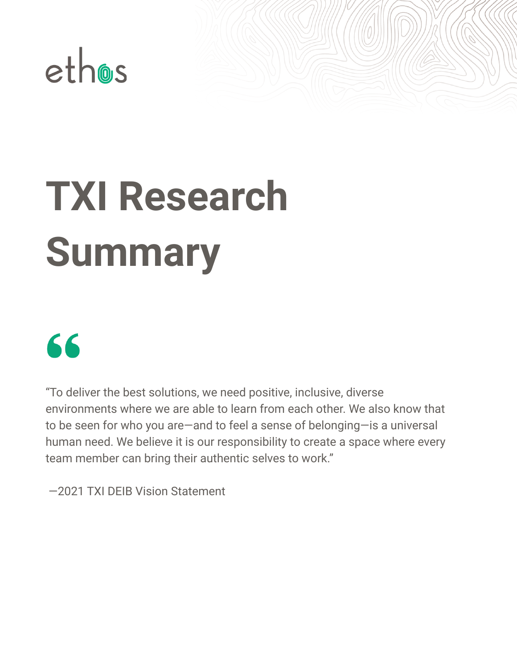

# **TXI Research Summary**



"To deliver the best solutions, we need positive, inclusive, diverse environments where we are able to learn from each other. We also know that to be seen for who you are—and to feel a sense of belonging—is a universal human need. We believe it is our responsibility to create a space where every team member can bring their authentic selves to work."

—2021 TXI DEIB Vision Statement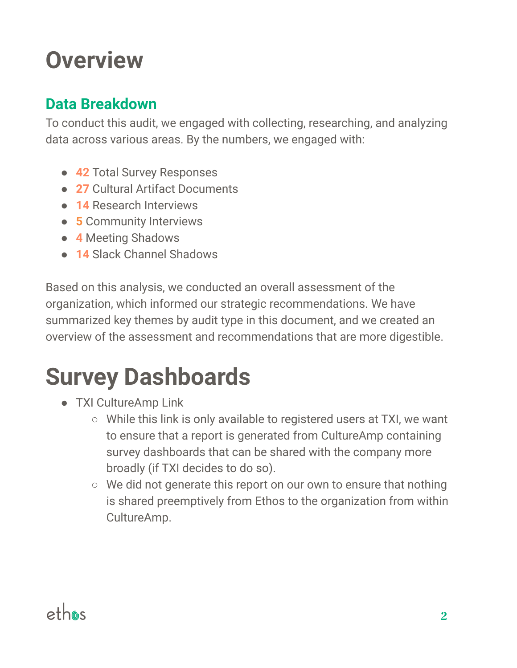# **Overview**

### **Data Breakdown**

To conduct this audit, we engaged with collecting, researching, and analyzing data across various areas. By the numbers, we engaged with:

- **42** Total Survey Responses
- **27** Cultural Artifact Documents
- **14** Research Interviews
- **● 5** Community Interviews
- **4** Meeting Shadows
- **● 14** Slack Channel Shadows

Based on this analysis, we conducted an overall assessment of the organization, which informed our strategic recommendations. We have summarized key themes by audit type in this document, and we created an overview of the assessment and recommendations that are more digestible.

# **Survey Dashboards**

- TXI CultureAmp Link
	- While this link is only available to registered users at TXI, we want to ensure that a report is generated from CultureAmp containing survey dashboards that can be shared with the company more broadly (if TXI decides to do so).
	- We did not generate this report on our own to ensure that nothing is shared preemptively from Ethos to the organization from within CultureAmp.

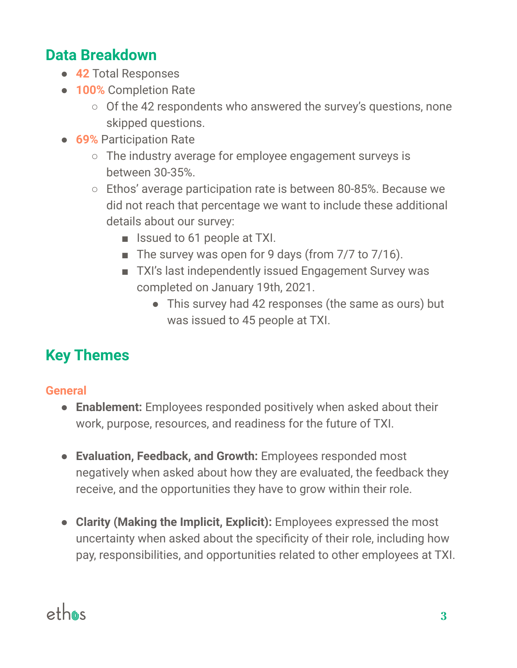### **Data Breakdown**

- **● 42** Total Responses
- **● 100%** Completion Rate
	- Of the 42 respondents who answered the survey's questions, none skipped questions.
- **● 69%** Participation Rate
	- The industry average for employee engagement surveys is between 30-35%.
	- Ethos' average participation rate is between 80-85%. Because we did not reach that percentage we want to include these additional details about our survey:
		- Issued to 61 people at TXI.
		- The survey was open for 9 days (from 7/7 to 7/16).
		- TXI's last independently issued Engagement Survey was completed on January 19th, 2021.
			- This survey had 42 responses (the same as ours) but was issued to 45 people at TXI.

# **Key Themes**

#### **General**

- **● Enablement:** Employees responded positively when asked about their work, purpose, resources, and readiness for the future of TXI.
- **● Evaluation, Feedback, and Growth:** Employees responded most negatively when asked about how they are evaluated, the feedback they receive, and the opportunities they have to grow within their role.
- **● Clarity (Making the Implicit, Explicit):** Employees expressed the most uncertainty when asked about the specificity of their role, including how pay, responsibilities, and opportunities related to other employees at TXI.

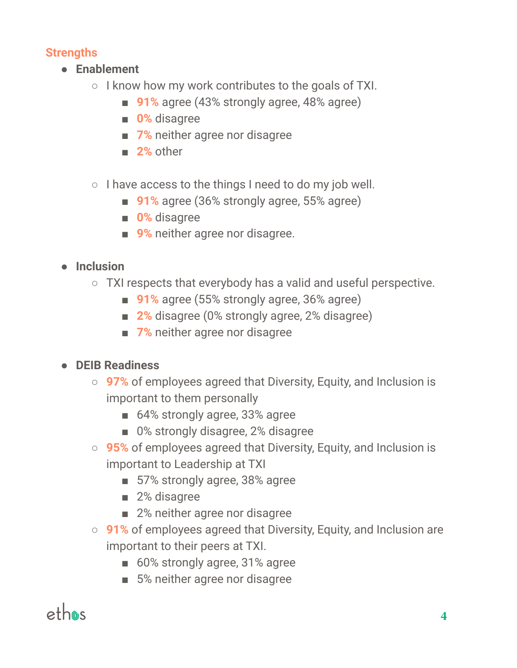#### **Strengths**

- **● Enablement**
	- $\circ$  I know how my work contributes to the goals of TXI.
		- 91% agree (43% strongly agree, 48% agree)
		- **■ 0%** disagree
		- **7%** neither agree nor disagree
		- **■ 2%** other
	- I have access to the things I need to do my job well.
		- 91% agree (36% strongly agree, 55% agree)
		- **■ 0%** disagree
		- **9%** neither agree nor disagree.

#### **● Inclusion**

- TXI respects that everybody has a valid and useful perspective.
	- **91%** agree (55% strongly agree, 36% agree)
	- **2%** disagree (0% strongly agree, 2% disagree)
	- **7%** neither agree nor disagree

#### **● DEIB Readiness**

- **○ 97%** of employees agreed that Diversity, Equity, and Inclusion is important to them personally
	- 64% strongly agree, 33% agree
	- 0% strongly disagree, 2% disagree
- **○ 95%** of employees agreed that Diversity, Equity, and Inclusion is important to Leadership at TXI
	- 57% strongly agree, 38% agree
	- 2% disagree
	- 2% neither agree nor disagree
- **○ 91%** of employees agreed that Diversity, Equity, and Inclusion are important to their peers at TXI.
	- 60% strongly agree, 31% agree
	- 5% neither agree nor disagree

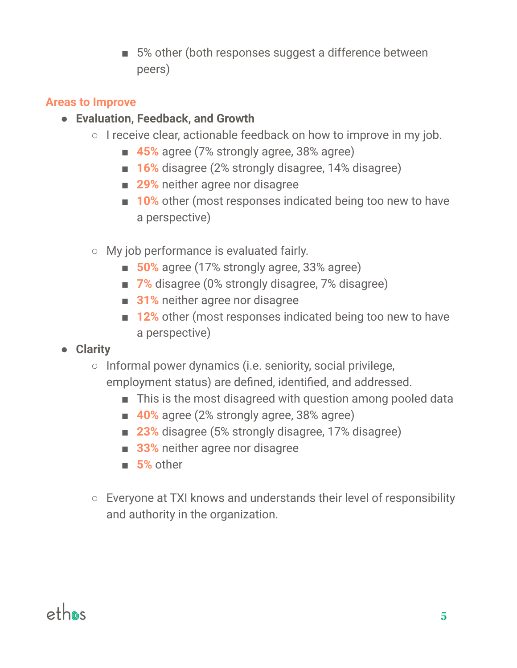■ 5% other (both responses suggest a difference between peers)

#### **Areas to Improve**

- **● Evaluation, Feedback, and Growth**
	- I receive clear, actionable feedback on how to improve in my job.
		- **45%** agree (7% strongly agree, 38% agree)
		- **16%** disagree (2% strongly disagree, 14% disagree)
		- **29%** neither agree nor disagree
		- **10%** other (most responses indicated being too new to have a perspective)
	- My job performance is evaluated fairly.
		- **50%** agree (17% strongly agree, 33% agree)
		- **7%** disagree (0% strongly disagree, 7% disagree)
		- **31%** neither agree nor disagree
		- **12%** other (most responses indicated being too new to have a perspective)
- **● Clarity**
	- Informal power dynamics (i.e. seniority, social privilege, employment status) are defined, identified, and addressed.
		- This is the most disagreed with question among pooled data
		- **40%** agree (2% strongly agree, 38% agree)
		- **23%** disagree (5% strongly disagree, 17% disagree)
		- **33%** neither agree nor disagree
		- **■ 5%** other
	- Everyone at TXI knows and understands their level of responsibility and authority in the organization.

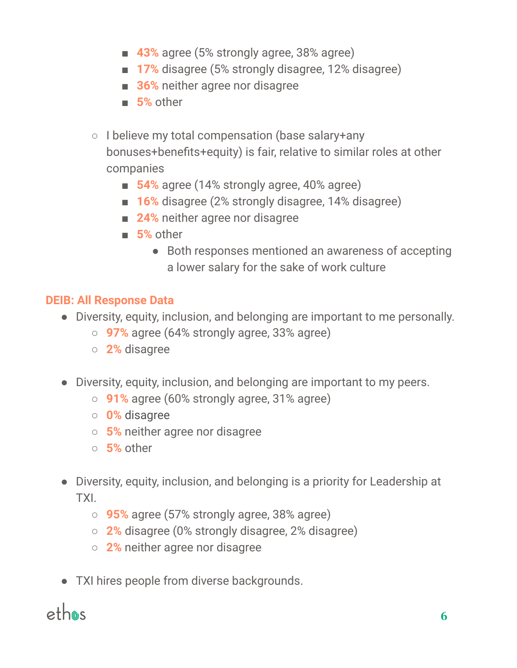- **43%** agree (5% strongly agree, 38% agree)
- **17%** disagree (5% strongly disagree, 12% disagree)
- **36%** neither agree nor disagree
- **■ 5%** other
- I believe my total compensation (base salary+any bonuses+benefits+equity) is fair, relative to similar roles at other companies
	- **54%** agree (14% strongly agree, 40% agree)
	- **16%** disagree (2% strongly disagree, 14% disagree)
	- **24%** neither agree nor disagree
	- **■ 5%** other
		- **●** Both responses mentioned an awareness of accepting a lower salary for the sake of work culture

#### **DEIB: All Response Data**

- Diversity, equity, inclusion, and belonging are important to me personally.
	- **○ 97%** agree (64% strongly agree, 33% agree)
	- **○ 2%** disagree
- Diversity, equity, inclusion, and belonging are important to my peers.
	- **○ 91%** agree (60% strongly agree, 31% agree)
	- **○ 0%** disagree
	- **○ 5%** neither agree nor disagree
	- **○ 5%** other
- Diversity, equity, inclusion, and belonging is a priority for Leadership at TXI.
	- **○ 95%** agree (57% strongly agree, 38% agree)
	- **○ 2%** disagree (0% strongly disagree, 2% disagree)
	- **○ 2%** neither agree nor disagree
- TXI hires people from diverse backgrounds.

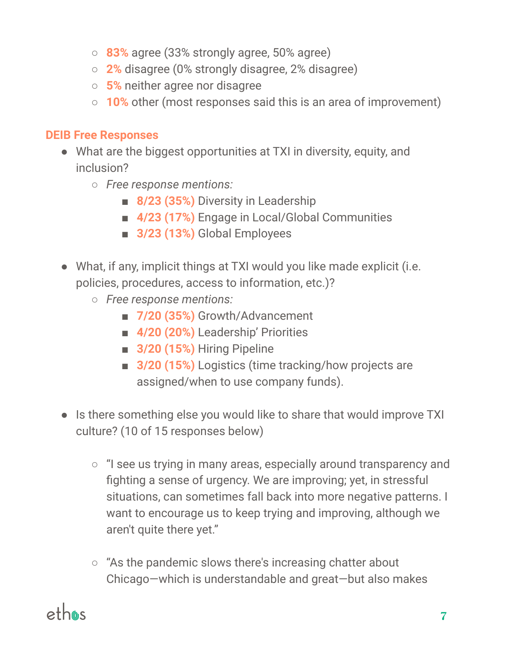- **83%** agree (33% strongly agree, 50% agree)
- **2%** disagree (0% strongly disagree, 2% disagree)
- **5%** neither agree nor disagree
- **10%** other (most responses said this is an area of improvement)

#### **DEIB Free Responses**

- What are the biggest opportunities at TXI in diversity, equity, and inclusion?
	- *Free response mentions:*
		- **■ 8/23 (35%)** Diversity in Leadership
		- **■ 4/23 (17%)** Engage in Local/Global Communities
		- **■ 3/23 (13%)** Global Employees
- What, if any, implicit things at TXI would you like made explicit (i.e. policies, procedures, access to information, etc.)?
	- *Free response mentions:*
		- **■ 7/20 (35%)** Growth/Advancement
		- **■ 4/20 (20%)** Leadership' Priorities
		- **■ 3/20 (15%)** Hiring Pipeline
		- **3/20 (15%)** Logistics (time tracking/how projects are assigned/when to use company funds).
- Is there something else you would like to share that would improve TXI culture? (10 of 15 responses below)
	- "I see us trying in many areas, especially around transparency and fighting a sense of urgency. We are improving; yet, in stressful situations, can sometimes fall back into more negative patterns. I want to encourage us to keep trying and improving, although we aren't quite there yet."
	- "As the pandemic slows there's increasing chatter about Chicago—which is understandable and great—but also makes

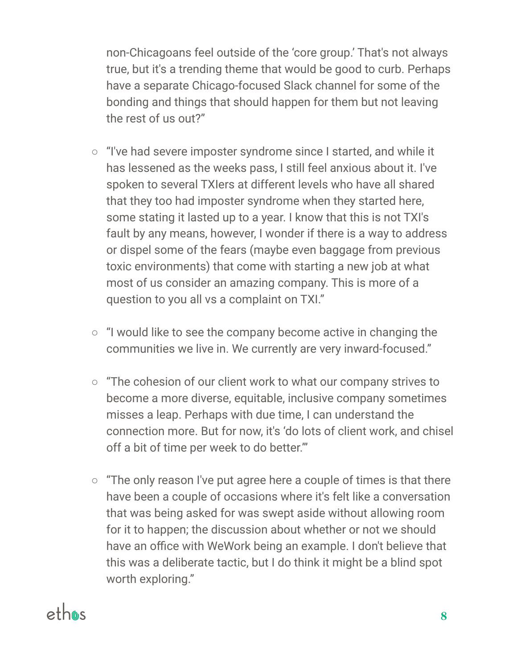non-Chicagoans feel outside of the 'core group.' That's not always true, but it's a trending theme that would be good to curb. Perhaps have a separate Chicago-focused Slack channel for some of the bonding and things that should happen for them but not leaving the rest of us out?"

- "I've had severe imposter syndrome since I started, and while it has lessened as the weeks pass, I still feel anxious about it. I've spoken to several TXIers at different levels who have all shared that they too had imposter syndrome when they started here, some stating it lasted up to a year. I know that this is not TXI's fault by any means, however, I wonder if there is a way to address or dispel some of the fears (maybe even baggage from previous toxic environments) that come with starting a new job at what most of us consider an amazing company. This is more of a question to you all vs a complaint on TXI."
- "I would like to see the company become active in changing the communities we live in. We currently are very inward-focused."
- "The cohesion of our client work to what our company strives to become a more diverse, equitable, inclusive company sometimes misses a leap. Perhaps with due time, I can understand the connection more. But for now, it's 'do lots of client work, and chisel off a bit of time per week to do better.'"
- $\circ$  "The only reason I've put agree here a couple of times is that there have been a couple of occasions where it's felt like a conversation that was being asked for was swept aside without allowing room for it to happen; the discussion about whether or not we should have an office with WeWork being an example. I don't believe that this was a deliberate tactic, but I do think it might be a blind spot worth exploring."

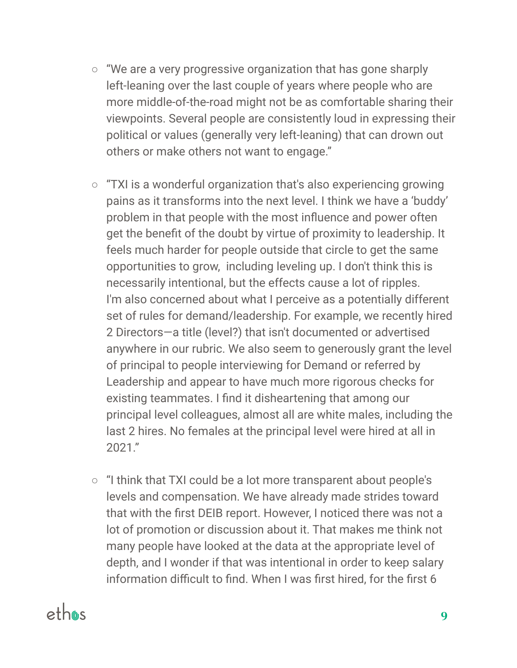- "We are a very progressive organization that has gone sharply left-leaning over the last couple of years where people who are more middle-of-the-road might not be as comfortable sharing their viewpoints. Several people are consistently loud in expressing their political or values (generally very left-leaning) that can drown out others or make others not want to engage."
- $\circ$  "TXI is a wonderful organization that's also experiencing growing pains as it transforms into the next level. I think we have a 'buddy' problem in that people with the most influence and power often get the benefit of the doubt by virtue of proximity to leadership. It feels much harder for people outside that circle to get the same opportunities to grow, including leveling up. I don't think this is necessarily intentional, but the effects cause a lot of ripples. I'm also concerned about what I perceive as a potentially different set of rules for demand/leadership. For example, we recently hired 2 Directors—a title (level?) that isn't documented or advertised anywhere in our rubric. We also seem to generously grant the level of principal to people interviewing for Demand or referred by Leadership and appear to have much more rigorous checks for existing teammates. I find it disheartening that among our principal level colleagues, almost all are white males, including the last 2 hires. No females at the principal level were hired at all in 2021."
- "I think that TXI could be a lot more transparent about people's levels and compensation. We have already made strides toward that with the first DEIB report. However, I noticed there was not a lot of promotion or discussion about it. That makes me think not many people have looked at the data at the appropriate level of depth, and I wonder if that was intentional in order to keep salary information difficult to find. When I was first hired, for the first 6

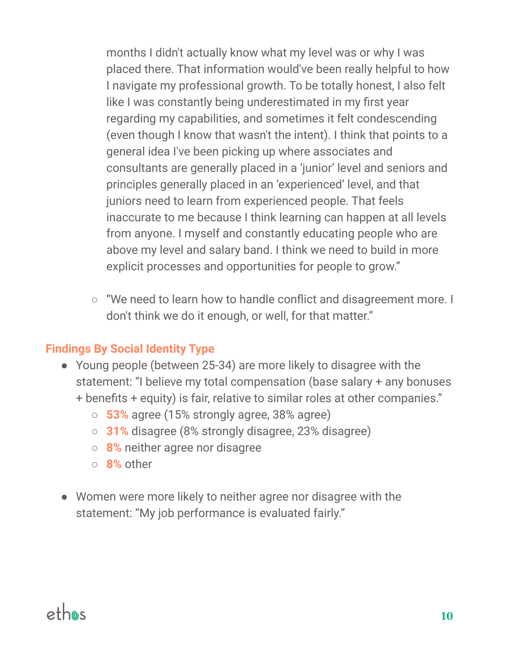months I didn't actually know what my level was or why I was placed there. That information would've been really helpful to how I navigate my professional growth. To be totally honest, I also felt like I was constantly being underestimated in my first year regarding my capabilities, and sometimes it felt condescending (even though I know that wasn't the intent). I think that points to a general idea I've been picking up where associates and consultants are generally placed in a 'junior' level and seniors and principles generally placed in an 'experienced' level, and that juniors need to learn from experienced people. That feels inaccurate to me because I think learning can happen at all levels from anyone. I myself and constantly educating people who are above my level and salary band. I think we need to build in more explicit processes and opportunities for people to grow."

○ "We need to learn how to handle conflict and disagreement more. I don't think we do it enough, or well, for that matter."

#### **Findings By Social Identity Type**

- Young people (between 25-34) are more likely to disagree with the statement: "I believe my total compensation (base salary + any bonuses + benefits + equity) is fair, relative to similar roles at other companies."
	- **○ 53%** agree (15% strongly agree, 38% agree)
	- **○ 31%** disagree (8% strongly disagree, 23% disagree)
	- **○ 8%** neither agree nor disagree
	- **○ 8%** other
- Women were more likely to neither agree nor disagree with the statement: "My job performance is evaluated fairly."

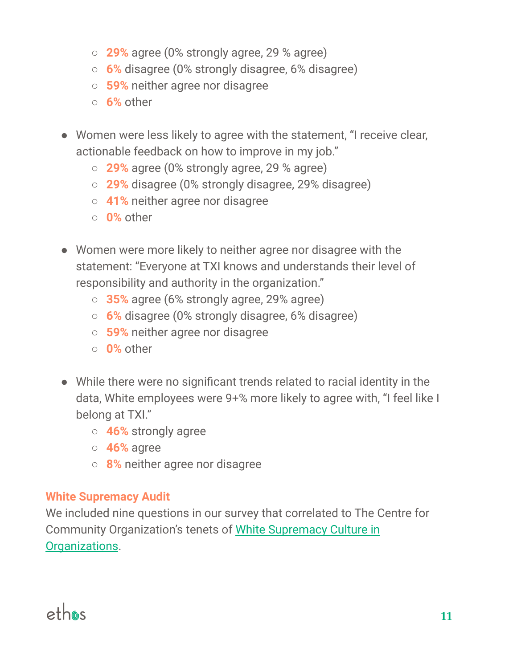- **○ 29%** agree (0% strongly agree, 29 % agree)
- **○ 6%** disagree (0% strongly disagree, 6% disagree)
- **○ 59%** neither agree nor disagree
- **○ 6%** other
- Women were less likely to agree with the statement, "I receive clear, actionable feedback on how to improve in my job."
	- **29%** agree (0% strongly agree, 29 % agree)
	- **29%** disagree (0% strongly disagree, 29% disagree)
	- **41%** neither agree nor disagree
	- **0%** other
- Women were more likely to neither agree nor disagree with the statement: "Everyone at TXI knows and understands their level of responsibility and authority in the organization."
	- **○ 35%** agree (6% strongly agree, 29% agree)
	- **○ 6%** disagree (0% strongly disagree, 6% disagree)
	- **○ 59%** neither agree nor disagree
	- **○ 0%** other
- While there were no significant trends related to racial identity in the data, White employees were 9+% more likely to agree with, "I feel like I belong at TXI."
	- **46%** strongly agree
	- **46%** agree
	- **8%** neither agree nor disagree

#### **White Supremacy Audit**

We included nine questions in our survey that correlated to The Centre for Community Organization's tenets of White [Supremacy](https://coco-net.org/wp-content/uploads/2019/11/Coco-WhiteSupCulture-ENG4.pdf) Culture in [Organizations](https://coco-net.org/wp-content/uploads/2019/11/Coco-WhiteSupCulture-ENG4.pdf).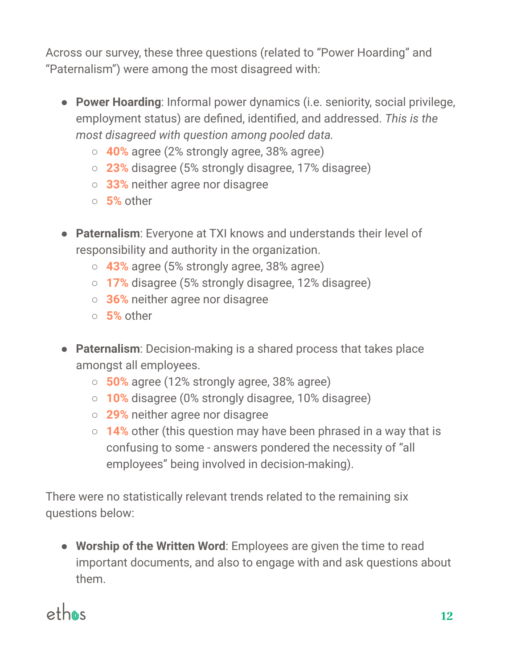Across our survey, these three questions (related to "Power Hoarding" and "Paternalism") were among the most disagreed with:

- **Power Hoarding**: Informal power dynamics (i.e. seniority, social privilege, employment status) are defined, identified, and addressed. *This is the most disagreed with question among pooled data.*
	- **○ 40%** agree (2% strongly agree, 38% agree)
	- **○ 23%** disagree (5% strongly disagree, 17% disagree)
	- **○ 33%** neither agree nor disagree
	- **○ 5%** other
- **Paternalism**: Everyone at TXI knows and understands their level of responsibility and authority in the organization.
	- **○ 43%** agree (5% strongly agree, 38% agree)
	- **○ 17%** disagree (5% strongly disagree, 12% disagree)
	- **○ 36%** neither agree nor disagree
	- **○ 5%** other
- **Paternalism**: Decision-making is a shared process that takes place amongst all employees.
	- **○ 50%** agree (12% strongly agree, 38% agree)
	- **○ 10%** disagree (0% strongly disagree, 10% disagree)
	- **○ 29%** neither agree nor disagree
	- **○ 14%** other (this question may have been phrased in a way that is confusing to some - answers pondered the necessity of "all employees" being involved in decision-making).

There were no statistically relevant trends related to the remaining six questions below:

● **Worship of the Written Word**: Employees are given the time to read important documents, and also to engage with and ask questions about them.

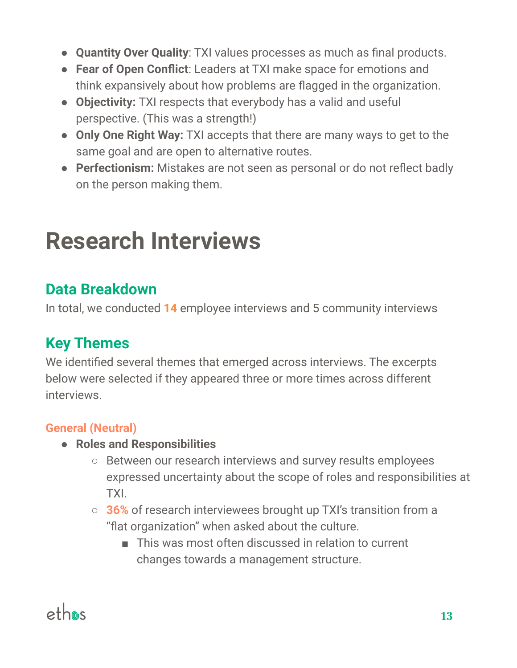- **Quantity Over Quality**: TXI values processes as much as final products.
- **Fear of Open Conflict**: Leaders at TXI make space for emotions and think expansively about how problems are flagged in the organization.
- *●* **Objectivity:** TXI respects that everybody has a valid and useful perspective. (This was a strength!)
- *●* **Only One Right Way:** TXI accepts that there are many ways to get to the same goal and are open to alternative routes.
- *●* **Perfectionism:** Mistakes are not seen as personal or do not reflect badly on the person making them.

# **Research Interviews**

### **Data Breakdown**

In total, we conducted **14** employee interviews and 5 community interviews

# **Key Themes**

We identified several themes that emerged across interviews. The excerpts below were selected if they appeared three or more times across different interviews.

#### **General (Neutral)**

- **● Roles and Responsibilities**
	- Between our research interviews and survey results employees expressed uncertainty about the scope of roles and responsibilities at TXI.
	- **○ 36%** of research interviewees brought up TXI's transition from a "flat organization" when asked about the culture.
		- This was most often discussed in relation to current changes towards a management structure.

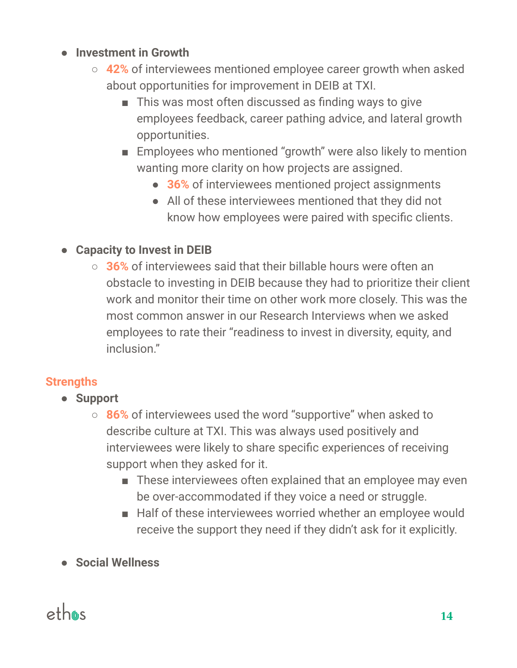#### **● Investment in Growth**

- **○ 42%** of interviewees mentioned employee career growth when asked about opportunities for improvement in DEIB at TXI.
	- This was most often discussed as finding ways to give employees feedback, career pathing advice, and lateral growth opportunities.
	- Employees who mentioned "growth" were also likely to mention wanting more clarity on how projects are assigned.
		- **36%** of interviewees mentioned project assignments
		- All of these interviewees mentioned that they did not know how employees were paired with specific clients.

#### **● Capacity to Invest in DEIB**

**○ 36%** of interviewees said that their billable hours were often an obstacle to investing in DEIB because they had to prioritize their client work and monitor their time on other work more closely. This was the most common answer in our Research Interviews when we asked employees to rate their "readiness to invest in diversity, equity, and inclusion."

#### **Strengths**

- **● Support**
	- **○ 86%** of interviewees used the word "supportive" when asked to describe culture at TXI. This was always used positively and interviewees were likely to share specific experiences of receiving support when they asked for it.
		- These interviewees often explained that an employee may even be over-accommodated if they voice a need or struggle.
		- Half of these interviewees worried whether an employee would receive the support they need if they didn't ask for it explicitly.
- **● Social Wellness**

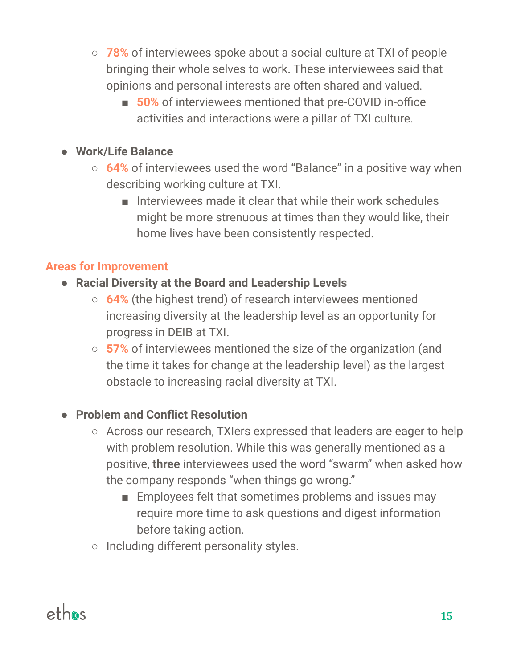- **○ 78%** of interviewees spoke about a social culture at TXI of people bringing their whole selves to work. These interviewees said that opinions and personal interests are often shared and valued.
	- **50%** of interviewees mentioned that pre-COVID in-office activities and interactions were a pillar of TXI culture.

#### **● Work/Life Balance**

- **○ 64%** of interviewees used the word "Balance" in a positive way when describing working culture at TXI.
	- Interviewees made it clear that while their work schedules might be more strenuous at times than they would like, their home lives have been consistently respected.

#### **Areas for Improvement**

- **● Racial Diversity at the Board and Leadership Levels**
	- **○ 64%** (the highest trend) of research interviewees mentioned increasing diversity at the leadership level as an opportunity for progress in DEIB at TXI.
	- **○ 57%** of interviewees mentioned the size of the organization (and the time it takes for change at the leadership level) as the largest obstacle to increasing racial diversity at TXI.

#### **● Problem and Conflict Resolution**

- Across our research, TXIers expressed that leaders are eager to help with problem resolution. While this was generally mentioned as a positive, **three** interviewees used the word "swarm" when asked how the company responds "when things go wrong."
	- Employees felt that sometimes problems and issues may require more time to ask questions and digest information before taking action.
- Including different personality styles.

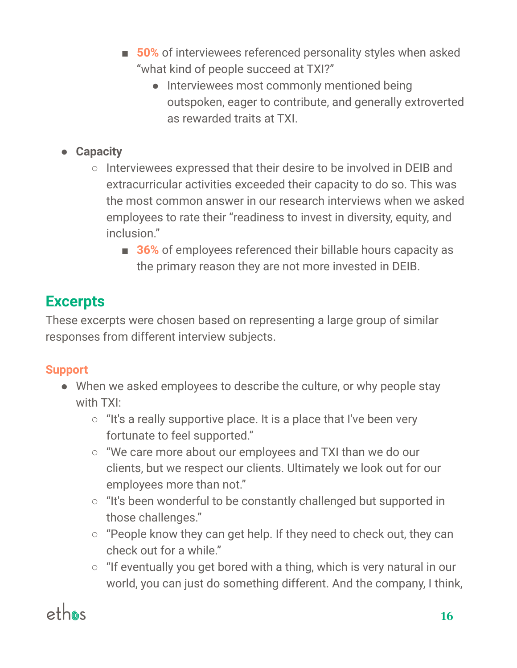- **50%** of interviewees referenced personality styles when asked "what kind of people succeed at TXI?"
	- Interviewees most commonly mentioned being outspoken, eager to contribute, and generally extroverted as rewarded traits at TXI.

#### **● Capacity**

- **○** Interviewees expressed that their desire to be involved in DEIB and extracurricular activities exceeded their capacity to do so. This was the most common answer in our research interviews when we asked employees to rate their "readiness to invest in diversity, equity, and inclusion"
	- **36%** of employees referenced their billable hours capacity as the primary reason they are not more invested in DEIB.

### **Excerpts**

These excerpts were chosen based on representing a large group of similar responses from different interview subjects.

#### **Support**

- When we asked employees to describe the culture, or why people stay with TXI:
	- $\circ$  "It's a really supportive place. It is a place that I've been very fortunate to feel supported."
	- "We care more about our employees and TXI than we do our clients, but we respect our clients. Ultimately we look out for our employees more than not."
	- "It's been wonderful to be constantly challenged but supported in those challenges."
	- "People know they can get help. If they need to check out, they can check out for a while."
	- "If eventually you get bored with a thing, which is very natural in our world, you can just do something different. And the company, I think,

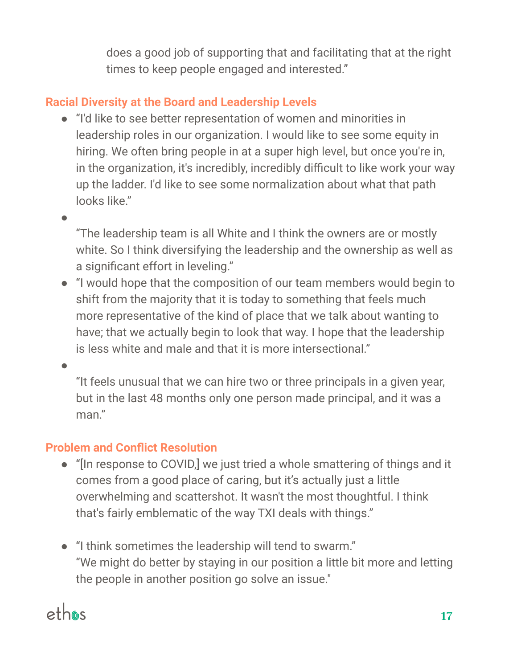does a good job of supporting that and facilitating that at the right times to keep people engaged and interested."

#### **Racial Diversity at the Board and Leadership Levels**

- "I'd like to see better representation of women and minorities in leadership roles in our organization. I would like to see some equity in hiring. We often bring people in at a super high level, but once you're in, in the organization, it's incredibly, incredibly difficult to like work your way up the ladder. I'd like to see some normalization about what that path looks like."
- ●

"The leadership team is all White and I think the owners are or mostly white. So I think diversifying the leadership and the ownership as well as a significant effort in leveling."

● "I would hope that the composition of our team members would begin to shift from the majority that it is today to something that feels much more representative of the kind of place that we talk about wanting to have; that we actually begin to look that way. I hope that the leadership is less white and male and that it is more intersectional."

●

"It feels unusual that we can hire two or three principals in a given year, but in the last 48 months only one person made principal, and it was a man"

#### **Problem and Conflict Resolution**

- "[In response to COVID,] we just tried a whole smattering of things and it comes from a good place of caring, but it's actually just a little overwhelming and scattershot. It wasn't the most thoughtful. I think that's fairly emblematic of the way TXI deals with things."
- "I think sometimes the leadership will tend to swarm." "We might do better by staying in our position a little bit more and letting the people in another position go solve an issue."

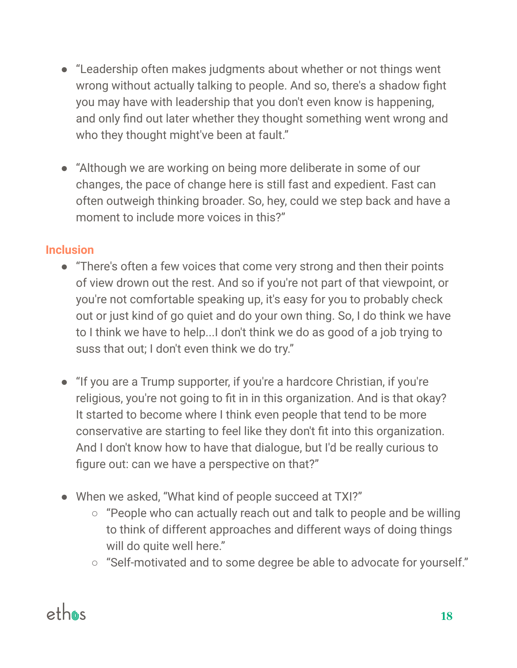- "Leadership often makes judgments about whether or not things went wrong without actually talking to people. And so, there's a shadow fight you may have with leadership that you don't even know is happening, and only find out later whether they thought something went wrong and who they thought might've been at fault."
- "Although we are working on being more deliberate in some of our changes, the pace of change here is still fast and expedient. Fast can often outweigh thinking broader. So, hey, could we step back and have a moment to include more voices in this?"

#### **Inclusion**

- "There's often a few voices that come very strong and then their points of view drown out the rest. And so if you're not part of that viewpoint, or you're not comfortable speaking up, it's easy for you to probably check out or just kind of go quiet and do your own thing. So, I do think we have to I think we have to help...I don't think we do as good of a job trying to suss that out; I don't even think we do try."
- "If you are a Trump supporter, if you're a hardcore Christian, if you're religious, you're not going to fit in in this organization. And is that okay? It started to become where I think even people that tend to be more conservative are starting to feel like they don't fit into this organization. And I don't know how to have that dialogue, but I'd be really curious to figure out: can we have a perspective on that?"
- When we asked, "What kind of people succeed at TXI?"
	- $\circ$  "People who can actually reach out and talk to people and be willing to think of different approaches and different ways of doing things will do quite well here."
	- "Self-motivated and to some degree be able to advocate for yourself."

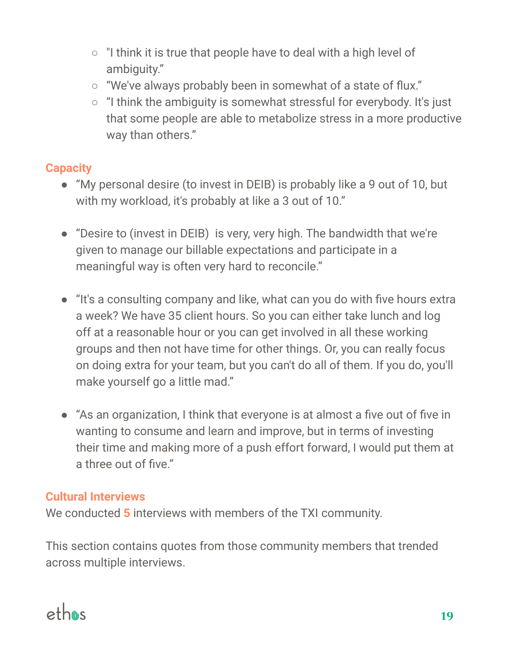- "I think it is true that people have to deal with a high level of ambiguity."
- "We've always probably been in somewhat of a state of flux."
- "I think the ambiguity is somewhat stressful for everybody. It's just that some people are able to metabolize stress in a more productive way than others."

#### **Capacity**

- "My personal desire (to invest in DEIB) is probably like a 9 out of 10, but with my workload, it's probably at like a 3 out of 10."
- "Desire to (invest in DEIB) is very, very high. The bandwidth that we're given to manage our billable expectations and participate in a meaningful way is often very hard to reconcile."
- "It's a consulting company and like, what can you do with five hours extra a week? We have 35 client hours. So you can either take lunch and log off at a reasonable hour or you can get involved in all these working groups and then not have time for other things. Or, you can really focus on doing extra for your team, but you can't do all of them. If you do, you'll make yourself go a little mad."
- "As an organization, I think that everyone is at almost a five out of five in wanting to consume and learn and improve, but in terms of investing their time and making more of a push effort forward, I would put them at a three out of five."

#### **Cultural Interviews**

We conducted **5** interviews with members of the TXI community.

This section contains quotes from those community members that trended across multiple interviews.

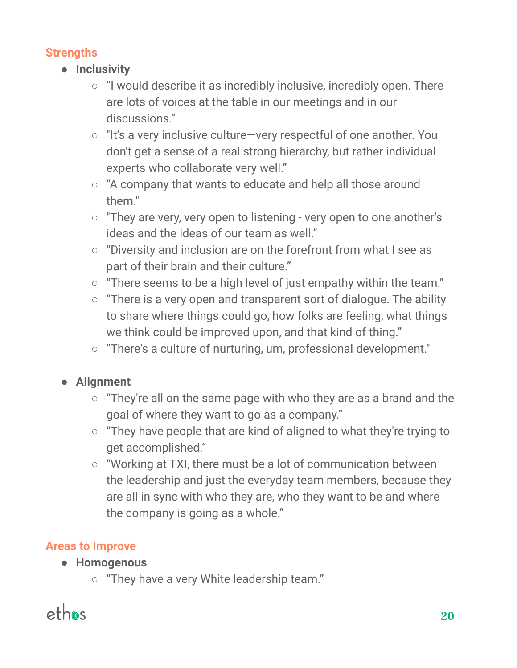#### **Strengths**

- **● Inclusivity**
	- "I would describe it as incredibly inclusive, incredibly open. There are lots of voices at the table in our meetings and in our discussions."
	- "It's a very inclusive culture—very respectful of one another. You don't get a sense of a real strong hierarchy, but rather individual experts who collaborate very well."
	- "A company that wants to educate and help all those around them"
	- "They are very, very open to listening very open to one another's ideas and the ideas of our team as well."
	- "Diversity and inclusion are on the forefront from what I see as part of their brain and their culture."
	- "There seems to be a high level of just empathy within the team."
	- "There is a very open and transparent sort of dialogue. The ability to share where things could go, how folks are feeling, what things we think could be improved upon, and that kind of thing."
	- "There's a culture of nurturing, um, professional development."

#### **● Alignment**

- $\circ$  "They're all on the same page with who they are as a brand and the goal of where they want to go as a company."
- "They have people that are kind of aligned to what they're trying to get accomplished."
- "Working at TXI, there must be a lot of communication between the leadership and just the everyday team members, because they are all in sync with who they are, who they want to be and where the company is going as a whole."

#### **Areas to Improve**

- **● Homogenous**
	- "They have a very White leadership team."

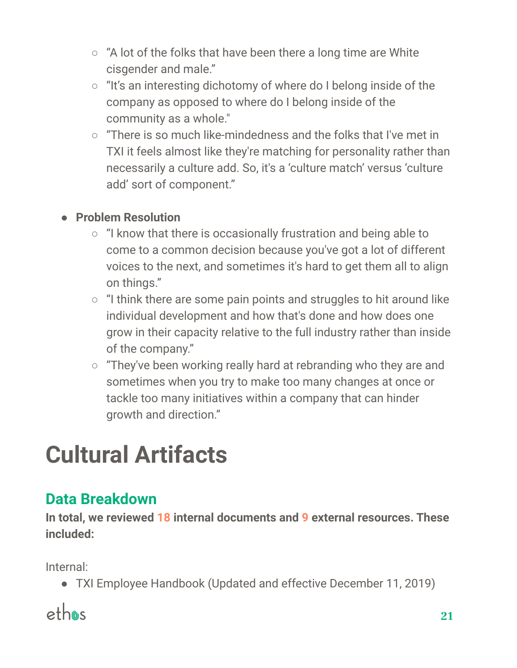- "A lot of the folks that have been there a long time are White cisgender and male."
- "It's an interesting dichotomy of where do I belong inside of the company as opposed to where do I belong inside of the community as a whole."
- "There is so much like-mindedness and the folks that I've met in TXI it feels almost like they're matching for personality rather than necessarily a culture add. So, it's a 'culture match' versus 'culture add' sort of component."

#### **● Problem Resolution**

- "I know that there is occasionally frustration and being able to come to a common decision because you've got a lot of different voices to the next, and sometimes it's hard to get them all to align on things."
- $\circ$  "I think there are some pain points and struggles to hit around like individual development and how that's done and how does one grow in their capacity relative to the full industry rather than inside of the company."
- "They've been working really hard at rebranding who they are and sometimes when you try to make too many changes at once or tackle too many initiatives within a company that can hinder growth and direction."

# **Cultural Artifacts**

# **Data Breakdown**

**In total, we reviewed 18 internal documents and 9 external resources. These included:**

Internal:

● TXI Employee Handbook (Updated and effective December 11, 2019)

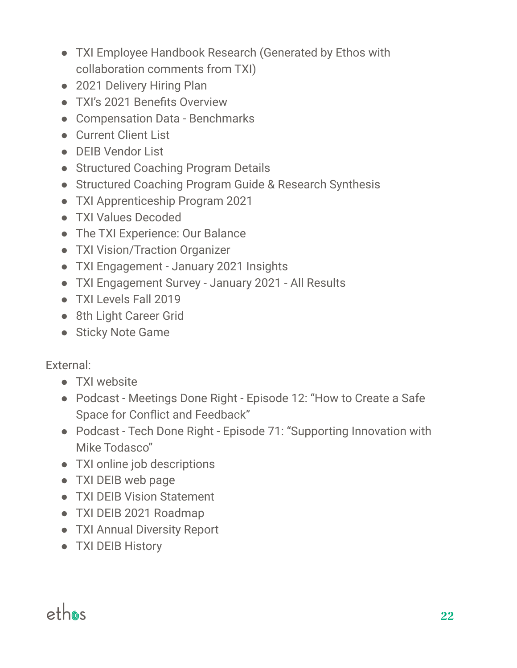- TXI Employee Handbook Research (Generated by Ethos with collaboration comments from TXI)
- 2021 Delivery Hiring Plan
- TXI's 2021 Benefits Overview
- Compensation Data Benchmarks
- Current Client List
- DEIB Vendor List
- Structured Coaching Program Details
- Structured Coaching Program Guide & Research Synthesis
- TXI Apprenticeship Program 2021
- TXI Values Decoded
- The TXI Experience: Our Balance
- TXI Vision/Traction Organizer
- TXI Engagement January 2021 Insights
- TXI Engagement Survey January 2021 All Results
- TXI Levels Fall 2019
- 8th Light Career Grid
- Sticky Note Game

External:

- TXI website
- Podcast Meetings Done Right Episode 12: "How to Create a Safe Space for Conflict and Feedback"
- Podcast Tech Done Right Episode 71: "Supporting Innovation with Mike Todasco"
- TXI online job descriptions
- TXI DEIB web page
- TXI DEIB Vision Statement
- TXI DEIB 2021 Roadmap
- TXI Annual Diversity Report
- TXI DEIB History

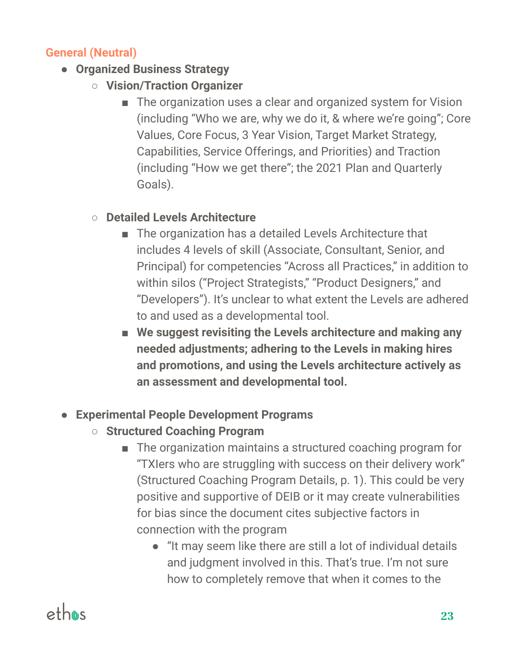#### **General (Neutral)**

- **Organized Business Strategy**
	- **Vision/Traction Organizer**
		- The organization uses a clear and organized system for Vision (including "Who we are, why we do it, & where we're going"; Core Values, Core Focus, 3 Year Vision, Target Market Strategy, Capabilities, Service Offerings, and Priorities) and Traction (including "How we get there"; the 2021 Plan and Quarterly Goals).

#### ○ **Detailed Levels Architecture**

- The organization has a detailed Levels Architecture that includes 4 levels of skill (Associate, Consultant, Senior, and Principal) for competencies "Across all Practices," in addition to within silos ("Project Strategists," "Product Designers," and "Developers"). It's unclear to what extent the Levels are adhered to and used as a developmental tool.
- **We suggest revisiting the Levels architecture and making any needed adjustments; adhering to the Levels in making hires and promotions, and using the Levels architecture actively as an assessment and developmental tool.**
- **Experimental People Development Programs**
	- **Structured Coaching Program**
		- The organization maintains a structured coaching program for "TXIers who are struggling with success on their delivery work" (Structured Coaching Program Details, p. 1). This could be very positive and supportive of DEIB or it may create vulnerabilities for bias since the document cites subjective factors in connection with the program
			- "It may seem like there are still a lot of individual details and judgment involved in this. That's true. I'm not sure how to completely remove that when it comes to the

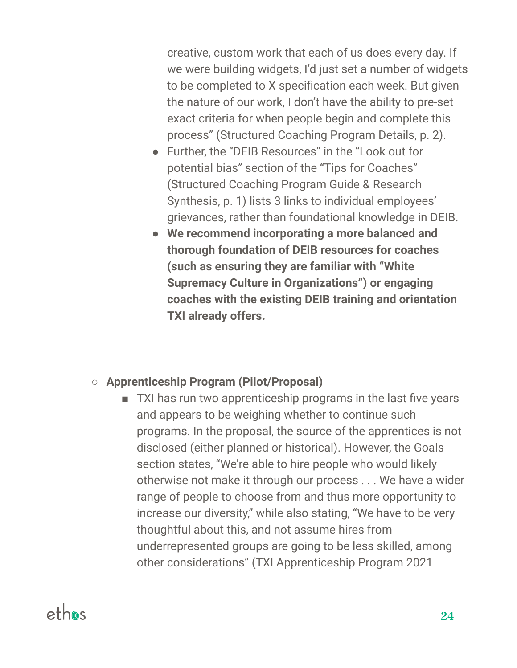creative, custom work that each of us does every day. If we were building widgets, I'd just set a number of widgets to be completed to X specification each week. But given the nature of our work, I don't have the ability to pre-set exact criteria for when people begin and complete this process" (Structured Coaching Program Details, p. 2).

- Further, the "DEIB Resources" in the "Look out for potential bias" section of the "Tips for Coaches" (Structured Coaching Program Guide & Research Synthesis, p. 1) lists 3 links to individual employees' grievances, rather than foundational knowledge in DEIB.
- **We recommend incorporating a more balanced and thorough foundation of DEIB resources for coaches (such as ensuring they are familiar with "White Supremacy Culture in Organizations") or engaging coaches with the existing DEIB training and orientation TXI already offers.**

#### **○ Apprenticeship Program (Pilot/Proposal)**

■ TXI has run two apprenticeship programs in the last five years and appears to be weighing whether to continue such programs. In the proposal, the source of the apprentices is not disclosed (either planned or historical). However, the Goals section states, "We're able to hire people who would likely otherwise not make it through our process . . . We have a wider range of people to choose from and thus more opportunity to increase our diversity," while also stating, "We have to be very thoughtful about this, and not assume hires from underrepresented groups are going to be less skilled, among other considerations" (TXI Apprenticeship Program 2021

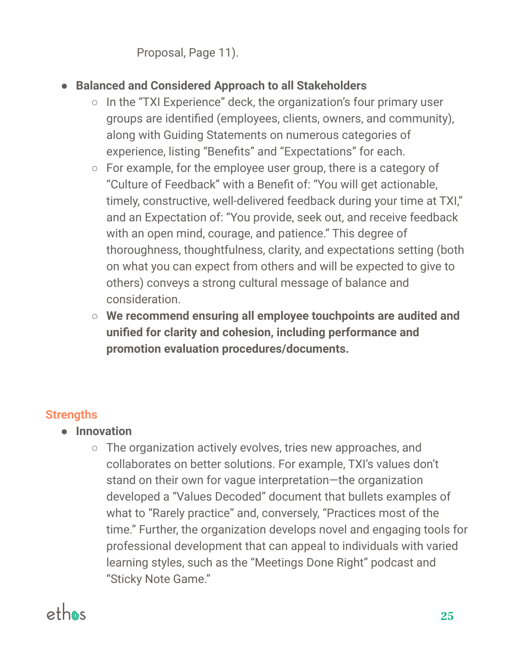Proposal, Page 11).

- **● Balanced and Considered Approach to all Stakeholders**
	- $\circ$  In the "TXI Experience" deck, the organization's four primary user groups are identified (employees, clients, owners, and community), along with Guiding Statements on numerous categories of experience, listing "Benefits" and "Expectations" for each.
	- For example, for the employee user group, there is a category of "Culture of Feedback" with a Benefit of: "You will get actionable, timely, constructive, well-delivered feedback during your time at TXI," and an Expectation of: "You provide, seek out, and receive feedback with an open mind, courage, and patience." This degree of thoroughness, thoughtfulness, clarity, and expectations setting (both on what you can expect from others and will be expected to give to others) conveys a strong cultural message of balance and consideration.
	- **We recommend ensuring all employee touchpoints are audited and unified for clarity and cohesion, including performance and promotion evaluation procedures/documents.**

#### **Strengths**

- **Innovation**
	- The organization actively evolves, tries new approaches, and collaborates on better solutions. For example, TXI's values don't stand on their own for vague interpretation—the organization developed a "Values Decoded" document that bullets examples of what to "Rarely practice" and, conversely, "Practices most of the time." Further, the organization develops novel and engaging tools for professional development that can appeal to individuals with varied learning styles, such as the "Meetings Done Right" podcast and "Sticky Note Game."

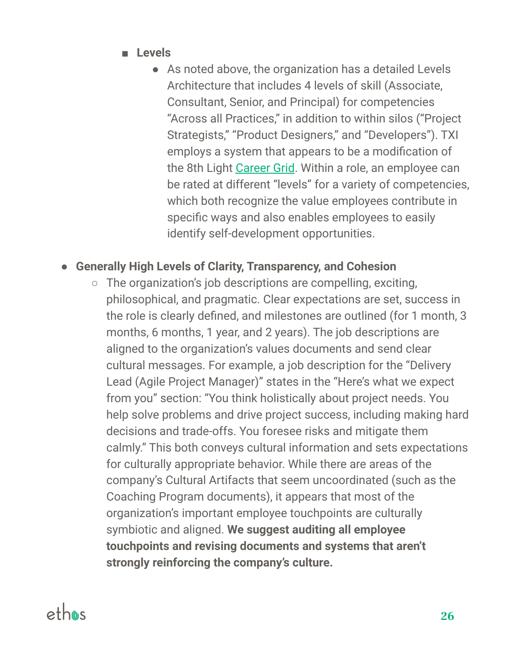- **Levels** 
	- As noted above, the organization has a detailed Levels Architecture that includes 4 levels of skill (Associate, Consultant, Senior, and Principal) for competencies "Across all Practices," in addition to within silos ("Project Strategists," "Product Designers," and "Developers"). TXI employs a system that appears to be a modification of the 8th Light [Career](https://8thlight.com/blog/claudia-richman/2020/01/21/career-grid.html) Grid. Within a role, an employee can be rated at different "levels" for a variety of competencies, which both recognize the value employees contribute in specific ways and also enables employees to easily identify self-development opportunities.

#### ● **Generally High Levels of Clarity, Transparency, and Cohesion**

 $\circ$  The organization's job descriptions are compelling, exciting, philosophical, and pragmatic. Clear expectations are set, success in the role is clearly defined, and milestones are outlined (for 1 month, 3 months, 6 months, 1 year, and 2 years). The job descriptions are aligned to the organization's values documents and send clear cultural messages. For example, a job description for the "Delivery Lead (Agile Project Manager)" states in the "Here's what we expect from you" section: "You think holistically about project needs. You help solve problems and drive project success, including making hard decisions and trade-offs. You foresee risks and mitigate them calmly." This both conveys cultural information and sets expectations for culturally appropriate behavior. While there are areas of the company's Cultural Artifacts that seem uncoordinated (such as the Coaching Program documents), it appears that most of the organization's important employee touchpoints are culturally symbiotic and aligned. **We suggest auditing all employee touchpoints and revising documents and systems that aren't strongly reinforcing the company's culture.**

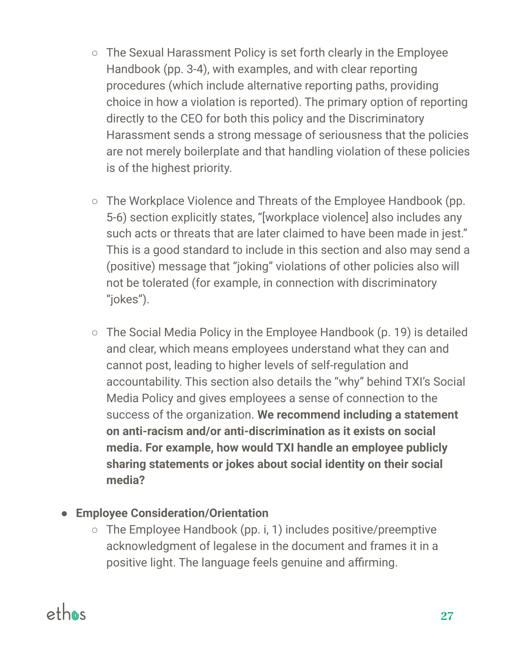- The Sexual Harassment Policy is set forth clearly in the Employee Handbook (pp. 3-4), with examples, and with clear reporting procedures (which include alternative reporting paths, providing choice in how a violation is reported). The primary option of reporting directly to the CEO for both this policy and the Discriminatory Harassment sends a strong message of seriousness that the policies are not merely boilerplate and that handling violation of these policies is of the highest priority.
- The Workplace Violence and Threats of the Employee Handbook (pp. 5-6) section explicitly states, "[workplace violence] also includes any such acts or threats that are later claimed to have been made in jest." This is a good standard to include in this section and also may send a (positive) message that "joking" violations of other policies also will not be tolerated (for example, in connection with discriminatory "jokes").
- $\circ$  The Social Media Policy in the Employee Handbook (p. 19) is detailed and clear, which means employees understand what they can and cannot post, leading to higher levels of self-regulation and accountability. This section also details the "why" behind TXI's Social Media Policy and gives employees a sense of connection to the success of the organization. **We recommend including a statement on anti-racism and/or anti-discrimination as it exists on social media. For example, how would TXI handle an employee publicly sharing statements or jokes about social identity on their social media?**

#### **● Employee Consideration/Orientation**

○ The Employee Handbook (pp. i, 1) includes positive/preemptive acknowledgment of legalese in the document and frames it in a positive light. The language feels genuine and affirming.

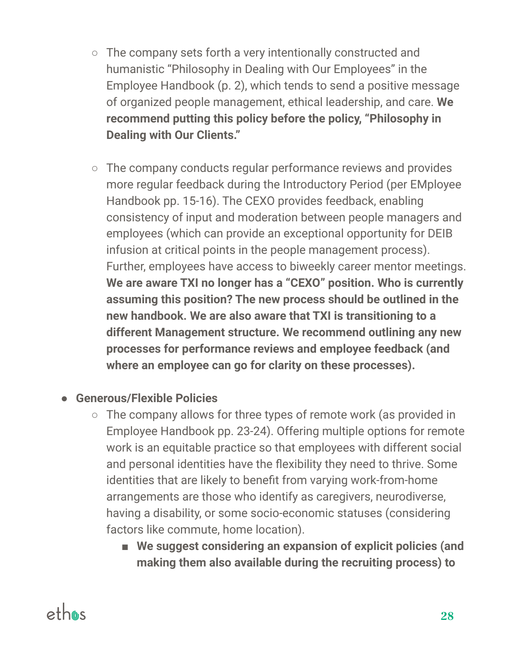- The company sets forth a very intentionally constructed and humanistic "Philosophy in Dealing with Our Employees" in the Employee Handbook (p. 2), which tends to send a positive message of organized people management, ethical leadership, and care. **We recommend putting this policy before the policy, "Philosophy in Dealing with Our Clients."**
- The company conducts regular performance reviews and provides more regular feedback during the Introductory Period (per EMployee Handbook pp. 15-16). The CEXO provides feedback, enabling consistency of input and moderation between people managers and employees (which can provide an exceptional opportunity for DEIB infusion at critical points in the people management process). Further, employees have access to biweekly career mentor meetings. **We are aware TXI no longer has a "CEXO" position. Who is currently assuming this position? The new process should be outlined in the new handbook. We are also aware that TXI is transitioning to a different Management structure. We recommend outlining any new processes for performance reviews and employee feedback (and where an employee can go for clarity on these processes).**

#### **● Generous/Flexible Policies**

- The company allows for three types of remote work (as provided in Employee Handbook pp. 23-24). Offering multiple options for remote work is an equitable practice so that employees with different social and personal identities have the flexibility they need to thrive. Some identities that are likely to benefit from varying work-from-home arrangements are those who identify as caregivers, neurodiverse, having a disability, or some socio-economic statuses (considering factors like commute, home location).
	- **We suggest considering an expansion of explicit policies (and making them also available during the recruiting process) to**

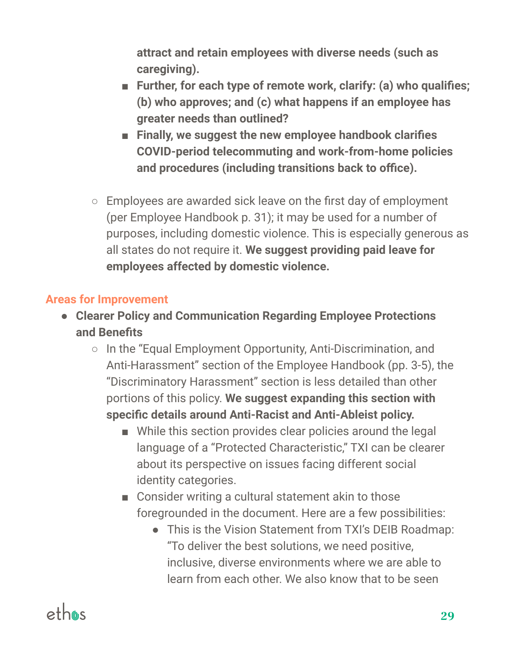**attract and retain employees with diverse needs (such as caregiving).**

- **Further, for each type of remote work, clarify: (a) who qualifies; (b) who approves; and (c) what happens if an employee has greater needs than outlined?**
- **Finally, we suggest the new employee handbook clarifies COVID-period telecommuting and work-from-home policies and procedures (including transitions back to office).**
- Employees are awarded sick leave on the first day of employment (per Employee Handbook p. 31); it may be used for a number of purposes, including domestic violence. This is especially generous as all states do not require it. **We suggest providing paid leave for employees affected by domestic violence.**

#### **Areas for Improvement**

- **Clearer Policy and Communication Regarding Employee Protections and Benefits**
	- In the "Equal Employment Opportunity, Anti-Discrimination, and Anti-Harassment" section of the Employee Handbook (pp. 3-5), the "Discriminatory Harassment" section is less detailed than other portions of this policy. **We suggest expanding this section with specific details around Anti-Racist and Anti-Ableist policy.**
		- While this section provides clear policies around the legal language of a "Protected Characteristic," TXI can be clearer about its perspective on issues facing different social identity categories.
		- Consider writing a cultural statement akin to those foregrounded in the document. Here are a few possibilities:
			- This is the Vision Statement from TXI's DEIB Roadmap: "To deliver the best solutions, we need positive, inclusive, diverse environments where we are able to learn from each other. We also know that to be seen

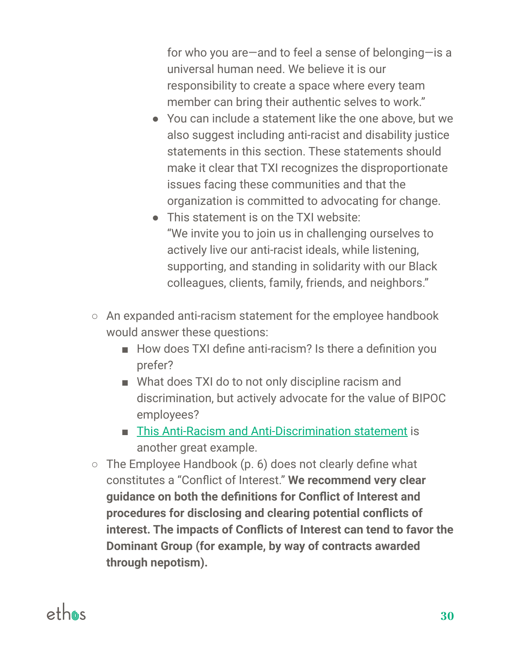for who you are—and to feel a sense of belonging—is a universal human need. We believe it is our responsibility to create a space where every team member can bring their authentic selves to work."

- You can include a statement like the one above, but we also suggest including anti-racist and disability justice statements in this section. These statements should make it clear that TXI recognizes the disproportionate issues facing these communities and that the organization is committed to advocating for change.
- This statement is on the TXI website: "We invite you to join us in challenging ourselves to actively live our anti-racist ideals, while listening, supporting, and standing in solidarity with our Black colleagues, clients, family, friends, and neighbors."
- An expanded anti-racism statement for the employee handbook would answer these questions:
	- How does TXI define anti-racism? Is there a definition you prefer?
	- What does TXI do to not only discipline racism and discrimination, but actively advocate for the value of BIPOC employees?
	- This Anti-Racism and [Anti-Discrimination](https://www.furiarubel.com/our-team/what-we-stand-for/) statement is another great example.
- $\circ$  The Employee Handbook (p. 6) does not clearly define what constitutes a "Conflict of Interest." **We recommend very clear guidance on both the definitions for Conflict of Interest and procedures for disclosing and clearing potential conflicts of interest. The impacts of Conflicts of Interest can tend to favor the Dominant Group (for example, by way of contracts awarded through nepotism).**

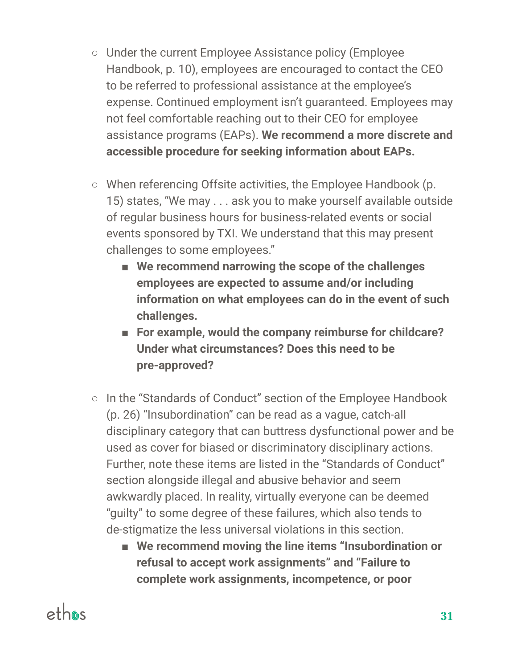- Under the current Employee Assistance policy (Employee Handbook, p. 10), employees are encouraged to contact the CEO to be referred to professional assistance at the employee's expense. Continued employment isn't guaranteed. Employees may not feel comfortable reaching out to their CEO for employee assistance programs (EAPs). **We recommend a more discrete and accessible procedure for seeking information about EAPs.**
- When referencing Offsite activities, the Employee Handbook (p. 15) states, "We may . . . ask you to make yourself available outside of regular business hours for business-related events or social events sponsored by TXI. We understand that this may present challenges to some employees."
	- **We recommend narrowing the scope of the challenges employees are expected to assume and/or including information on what employees can do in the event of such challenges.**
	- **For example, would the company reimburse for childcare? Under what circumstances? Does this need to be pre-approved?**
- In the "Standards of Conduct" section of the Employee Handbook (p. 26) "Insubordination" can be read as a vague, catch-all disciplinary category that can buttress dysfunctional power and be used as cover for biased or discriminatory disciplinary actions. Further, note these items are listed in the "Standards of Conduct" section alongside illegal and abusive behavior and seem awkwardly placed. In reality, virtually everyone can be deemed "guilty" to some degree of these failures, which also tends to de-stigmatize the less universal violations in this section.
	- We recommend moving the line items "Insubordination or **refusal to accept work assignments" and "Failure to complete work assignments, incompetence, or poor**

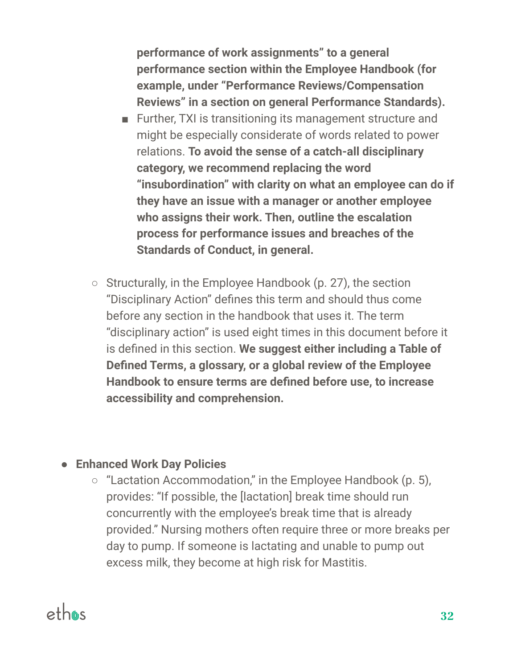**performance of work assignments" to a general performance section within the Employee Handbook (for example, under "Performance Reviews/Compensation Reviews" in a section on general Performance Standards).**

- Further, TXI is transitioning its management structure and might be especially considerate of words related to power relations. **To avoid the sense of a catch-all disciplinary category, we recommend replacing the word "insubordination" with clarity on what an employee can do if they have an issue with a manager or another employee who assigns their work. Then, outline the escalation process for performance issues and breaches of the Standards of Conduct, in general.**
- Structurally, in the Employee Handbook (p. 27), the section "Disciplinary Action" defines this term and should thus come before any section in the handbook that uses it. The term "disciplinary action" is used eight times in this document before it is defined in this section. **We suggest either including a Table of Defined Terms, a glossary, or a global review of the Employee Handbook to ensure terms are defined before use, to increase accessibility and comprehension.**

#### ● **Enhanced Work Day Policies**

○ "Lactation Accommodation," in the Employee Handbook (p. 5), provides: "If possible, the [lactation] break time should run concurrently with the employee's break time that is already provided." Nursing mothers often require three or more breaks per day to pump. If someone is lactating and unable to pump out excess milk, they become at high risk for Mastitis.

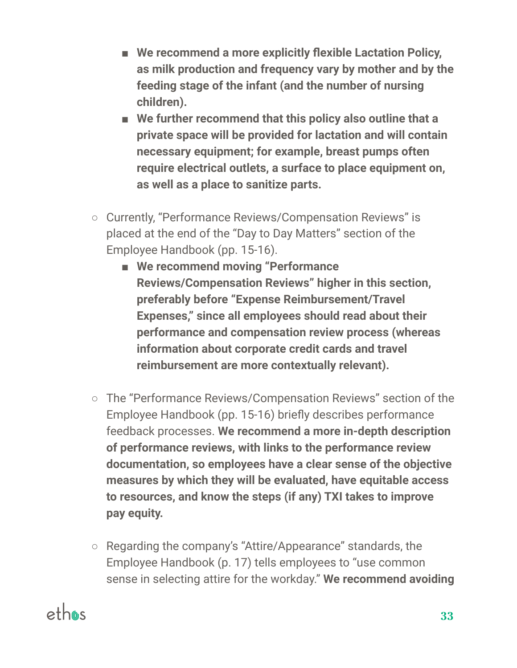- **We recommend a more explicitly flexible Lactation Policy, as milk production and frequency vary by mother and by the feeding stage of the infant (and the number of nursing children).**
- **We further recommend that this policy also outline that a private space will be provided for lactation and will contain necessary equipment; for example, breast pumps often require electrical outlets, a surface to place equipment on, as well as a place to sanitize parts.**
- Currently, "Performance Reviews/Compensation Reviews" is placed at the end of the "Day to Day Matters" section of the Employee Handbook (pp. 15-16).
	- **We recommend moving "Performance Reviews/Compensation Reviews" higher in this section, preferably before "Expense Reimbursement/Travel Expenses," since all employees should read about their performance and compensation review process (whereas information about corporate credit cards and travel reimbursement are more contextually relevant).**
- The "Performance Reviews/Compensation Reviews" section of the Employee Handbook (pp. 15-16) briefly describes performance feedback processes. **We recommend a more in-depth description of performance reviews, with links to the performance review documentation, so employees have a clear sense of the objective measures by which they will be evaluated, have equitable access to resources, and know the steps (if any) TXI takes to improve pay equity.**
- Regarding the company's "Attire/Appearance" standards, the Employee Handbook (p. 17) tells employees to "use common sense in selecting attire for the workday." **We recommend avoiding**

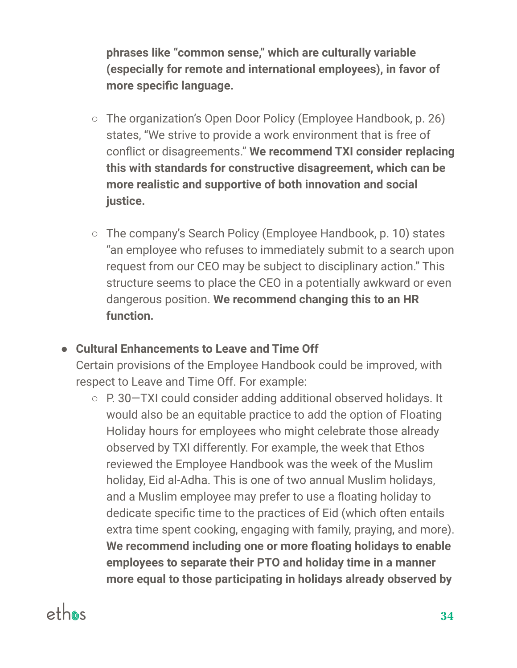**phrases like "common sense," which are culturally variable (especially for remote and international employees), in favor of more specific language.**

- The organization's Open Door Policy (Employee Handbook, p. 26) states, "We strive to provide a work environment that is free of conflict or disagreements." **We recommend TXI consider replacing this with standards for constructive disagreement, which can be more realistic and supportive of both innovation and social justice.**
- The company's Search Policy (Employee Handbook, p. 10) states "an employee who refuses to immediately submit to a search upon request from our CEO may be subject to disciplinary action." This structure seems to place the CEO in a potentially awkward or even dangerous position. **We recommend changing this to an HR function.**

#### **● Cultural Enhancements to Leave and Time Off**

Certain provisions of the Employee Handbook could be improved, with respect to Leave and Time Off. For example:

○ P. 30–TXI could consider adding additional observed holidays. It would also be an equitable practice to add the option of Floating Holiday hours for employees who might celebrate those already observed by TXI differently. For example, the week that Ethos reviewed the Employee Handbook was the week of the Muslim holiday, Eid al-Adha. This is one of two annual Muslim holidays, and a Muslim employee may prefer to use a floating holiday to dedicate specific time to the practices of Eid (which often entails extra time spent cooking, engaging with family, praying, and more). **We recommend including one or more floating holidays to enable employees to separate their PTO and holiday time in a manner more equal to those participating in holidays already observed by**

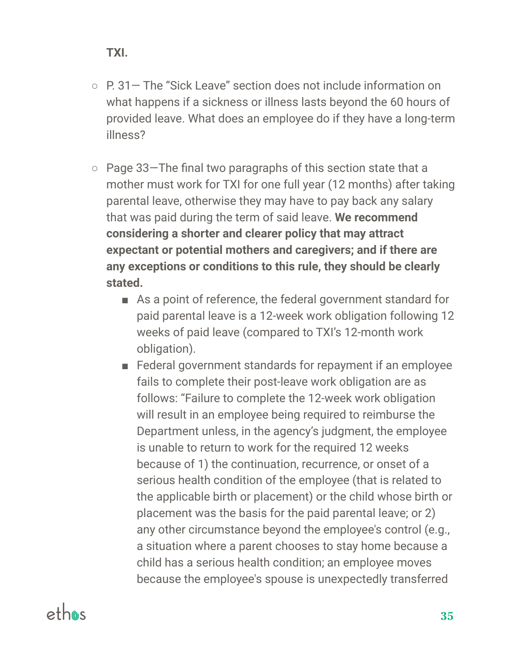- P. 31— The "Sick Leave" section does not include information on what happens if a sickness or illness lasts beyond the 60 hours of provided leave. What does an employee do if they have a long-term illness?
- Page 33—The final two paragraphs of this section state that a mother must work for TXI for one full year (12 months) after taking parental leave, otherwise they may have to pay back any salary that was paid during the term of said leave. **We recommend considering a shorter and clearer policy that may attract expectant or potential mothers and caregivers; and if there are any exceptions or conditions to this rule, they should be clearly stated.**
	- As a point of reference, the federal government standard for paid parental leave is a 12-week work obligation following 12 weeks of paid leave (compared to TXI's 12-month work obligation).
	- Federal government standards for repayment if an employee fails to complete their post-leave work obligation are as follows: "Failure to complete the 12-week work obligation will result in an employee being required to reimburse the Department unless, in the agency's judgment, the employee is unable to return to work for the required 12 weeks because of 1) the continuation, recurrence, or onset of a serious health condition of the employee (that is related to the applicable birth or placement) or the child whose birth or placement was the basis for the paid parental leave; or 2) any other circumstance beyond the employee's control (e.g., a situation where a parent chooses to stay home because a child has a serious health condition; an employee moves because the employee's spouse is unexpectedly transferred

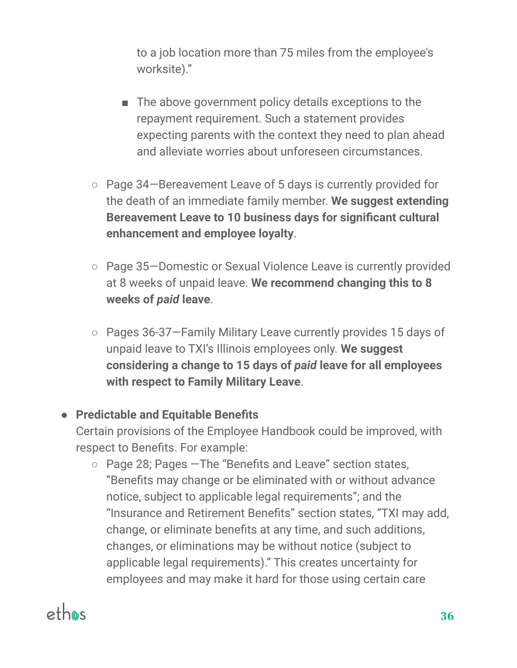to a job location more than 75 miles from the employee's worksite)."

- The above government policy details exceptions to the repayment requirement. Such a statement provides expecting parents with the context they need to plan ahead and alleviate worries about unforeseen circumstances.
- Page 34—Bereavement Leave of 5 days is currently provided for the death of an immediate family member. **We suggest extending Bereavement Leave to 10 business days for significant cultural enhancement and employee loyalty**.
- Page 35—Domestic or Sexual Violence Leave is currently provided at 8 weeks of unpaid leave. **We recommend changing this to 8 weeks of** *paid* **leave**.
- Pages 36-37—Family Military Leave currently provides 15 days of unpaid leave to TXI's Illinois employees only. **We suggest considering a change to 15 days of** *paid* **leave for all employees with respect to Family Military Leave**.

#### **● Predictable and Equitable Benefits**

Certain provisions of the Employee Handbook could be improved, with respect to Benefits. For example:

○ Page 28; Pages —The "Benefits and Leave" section states, "Benefits may change or be eliminated with or without advance notice, subject to applicable legal requirements"; and the "Insurance and Retirement Benefits" section states, "TXI may add, change, or eliminate benefits at any time, and such additions, changes, or eliminations may be without notice (subject to applicable legal requirements)." This creates uncertainty for employees and may make it hard for those using certain care

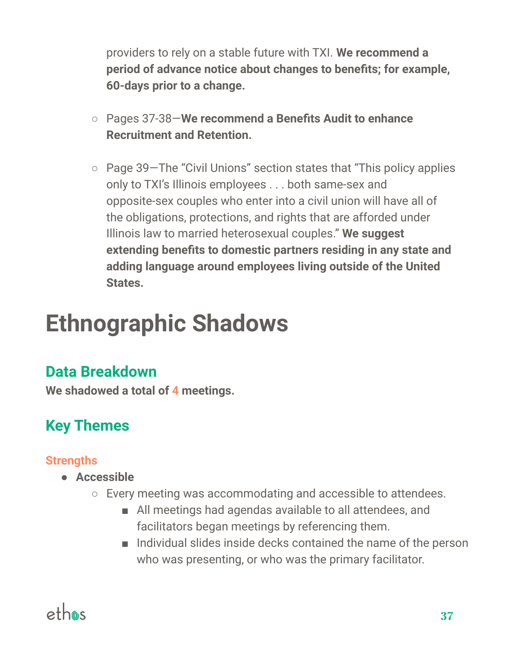providers to rely on a stable future with TXI. **We recommend a period of advance notice about changes to benefits; for example, 60-days prior to a change.**

- Pages 37-38—**We recommend a Benefits Audit to enhance Recruitment and Retention.**
- Page 39—The "Civil Unions" section states that "This policy applies only to TXI's Illinois employees . . . both same-sex and opposite-sex couples who enter into a civil union will have all of the obligations, protections, and rights that are afforded under Illinois law to married heterosexual couples." **We suggest extending benefits to domestic partners residing in any state and adding language around employees living outside of the United States.**

# **Ethnographic Shadows**

### **Data Breakdown**

**We shadowed a total of 4 meetings.**

# **Key Themes**

#### **Strengths**

- **● Accessible**
	- Every meeting was accommodating and accessible to attendees.
		- All meetings had agendas available to all attendees, and facilitators began meetings by referencing them.
		- Individual slides inside decks contained the name of the person who was presenting, or who was the primary facilitator.

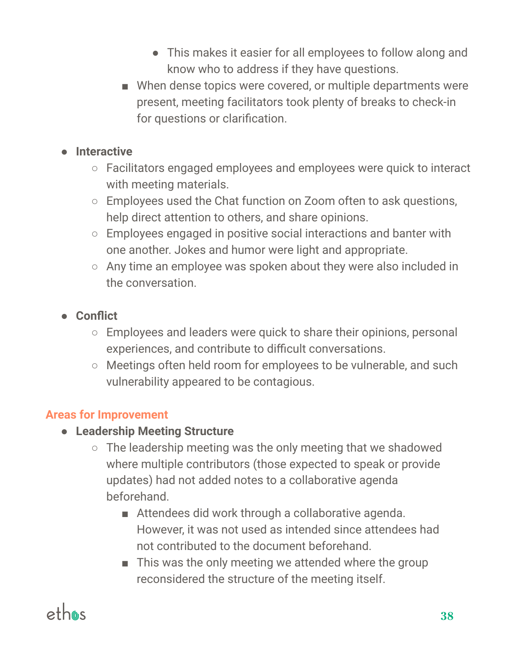- This makes it easier for all employees to follow along and know who to address if they have questions.
- When dense topics were covered, or multiple departments were present, meeting facilitators took plenty of breaks to check-in for questions or clarification.

#### **● Interactive**

- Facilitators engaged employees and employees were quick to interact with meeting materials.
- Employees used the Chat function on Zoom often to ask questions, help direct attention to others, and share opinions.
- Employees engaged in positive social interactions and banter with one another. Jokes and humor were light and appropriate.
- Any time an employee was spoken about they were also included in the conversation.
- **● Conflict**
	- Employees and leaders were quick to share their opinions, personal experiences, and contribute to difficult conversations.
	- Meetings often held room for employees to be vulnerable, and such vulnerability appeared to be contagious.

#### **Areas for Improvement**

- **● Leadership Meeting Structure**
	- The leadership meeting was the only meeting that we shadowed where multiple contributors (those expected to speak or provide updates) had not added notes to a collaborative agenda beforehand.
		- Attendees did work through a collaborative agenda. However, it was not used as intended since attendees had not contributed to the document beforehand.
		- This was the only meeting we attended where the group reconsidered the structure of the meeting itself.

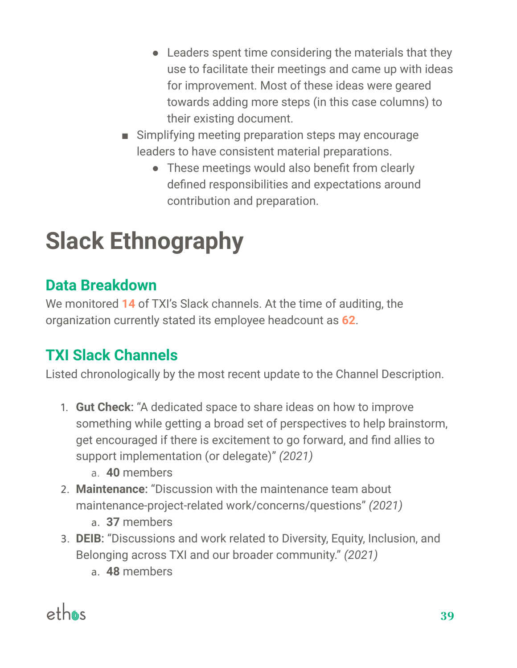- Leaders spent time considering the materials that they use to facilitate their meetings and came up with ideas for improvement. Most of these ideas were geared towards adding more steps (in this case columns) to their existing document.
- Simplifying meeting preparation steps may encourage leaders to have consistent material preparations.
	- These meetings would also benefit from clearly defined responsibilities and expectations around contribution and preparation.

# **Slack Ethnography**

### **Data Breakdown**

We monitored **14** of TXI's Slack channels. At the time of auditing, the organization currently stated its employee headcount as **62**.

# **TXI Slack Channels**

Listed chronologically by the most recent update to the Channel Description.

- 1. **Gut Check**: "A dedicated space to share ideas on how to improve something while getting a broad set of perspectives to help brainstorm, get encouraged if there is excitement to go forward, and find allies to support implementation (or delegate)" *(2021)*
	- a. **40** members
- 2. **Maintenance**: "Discussion with the maintenance team about maintenance-project-related work/concerns/questions" *(2021)*
	- a. **37** members
- 3. **DEIB**: "Discussions and work related to Diversity, Equity, Inclusion, and Belonging across TXI and our broader community." *(2021)*
	- a. **48** members

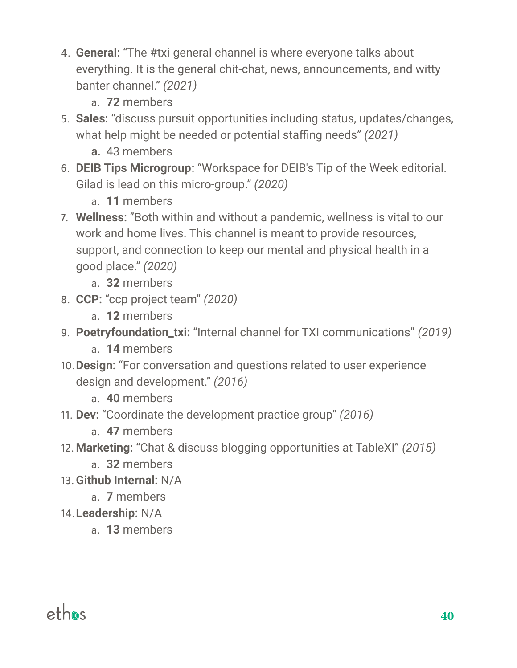- 4. **General**: "The #txi-general channel is where everyone talks about everything. It is the general chit-chat, news, announcements, and witty banter channel." *(2021)*
	- a. **72** members
- 5. **Sales**: "discuss pursuit opportunities including status, updates/changes, what help might be needed or potential staffing needs" *(2021)*
	- a. 43 members
- 6. **DEIB Tips Microgroup**: "Workspace for DEIB's Tip of the Week editorial. Gilad is lead on this micro-group." *(2020)*
	- a. **11** members
- 7. **Wellness**: "Both within and without a pandemic, wellness is vital to our work and home lives. This channel is meant to provide resources, support, and connection to keep our mental and physical health in a good place." *(2020)*
	- a. **32** members
- 8. **CCP**: "ccp project team" *(2020)*
	- a. **12** members
- 9. **Poetryfoundation\_txi:** "Internal channel for TXI communications" *(2019)*
	- a. **14** members
- 10.**Design**: "For conversation and questions related to user experience design and development." *(2016)*
	- a. **40** members
- 11. **Dev**: "Coordinate the development practice group" *(2016)*
	- a. **47** members
- 12.**Marketing**: "Chat & discuss blogging opportunities at TableXI" *(2015)*
	- a. **32** members
- 13.**Github Internal**: N/A
	- a. **7** members
- 14.**Leadership**: N/A
	- a. **13** members

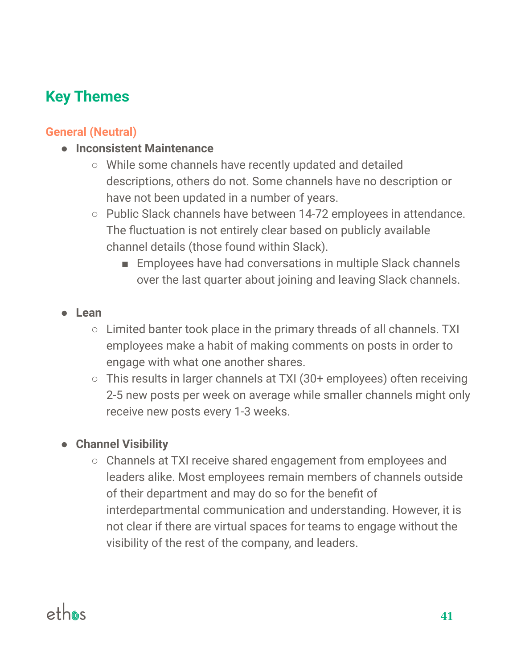# **Key Themes**

#### **General (Neutral)**

#### **● Inconsistent Maintenance**

- While some channels have recently updated and detailed descriptions, others do not. Some channels have no description or have not been updated in a number of years.
- Public Slack channels have between 14-72 employees in attendance. The fluctuation is not entirely clear based on publicly available channel details (those found within Slack).
	- Employees have had conversations in multiple Slack channels over the last quarter about joining and leaving Slack channels.

#### **● Lean**

- Limited banter took place in the primary threads of all channels. TXI employees make a habit of making comments on posts in order to engage with what one another shares.
- This results in larger channels at TXI (30+ employees) often receiving 2-5 new posts per week on average while smaller channels might only receive new posts every 1-3 weeks.

#### **● Channel Visibility**

○ Channels at TXI receive shared engagement from employees and leaders alike. Most employees remain members of channels outside of their department and may do so for the benefit of interdepartmental communication and understanding. However, it is not clear if there are virtual spaces for teams to engage without the visibility of the rest of the company, and leaders.

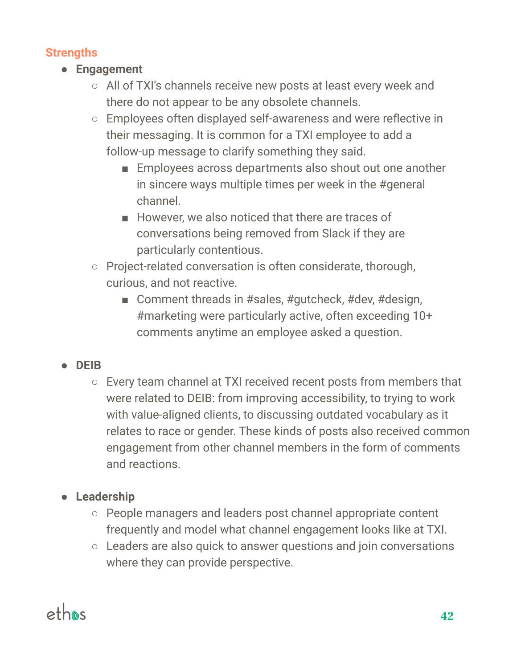#### **Strengths**

- **● Engagement**
	- All of TXI's channels receive new posts at least every week and there do not appear to be any obsolete channels.
	- Employees often displayed self-awareness and were reflective in their messaging. It is common for a TXI employee to add a follow-up message to clarify something they said.
		- Employees across departments also shout out one another in sincere ways multiple times per week in the #general channel.
		- However, we also noticed that there are traces of conversations being removed from Slack if they are particularly contentious.
	- Project-related conversation is often considerate, thorough, curious, and not reactive.
		- Comment threads in #sales, #gutcheck, #dev, #design, #marketing were particularly active, often exceeding 10+ comments anytime an employee asked a question.

#### **● DEIB**

○ Every team channel at TXI received recent posts from members that were related to DEIB: from improving accessibility, to trying to work with value-aligned clients, to discussing outdated vocabulary as it relates to race or gender. These kinds of posts also received common engagement from other channel members in the form of comments and reactions.

#### **● Leadership**

- People managers and leaders post channel appropriate content frequently and model what channel engagement looks like at TXI.
- Leaders are also quick to answer questions and join conversations where they can provide perspective.

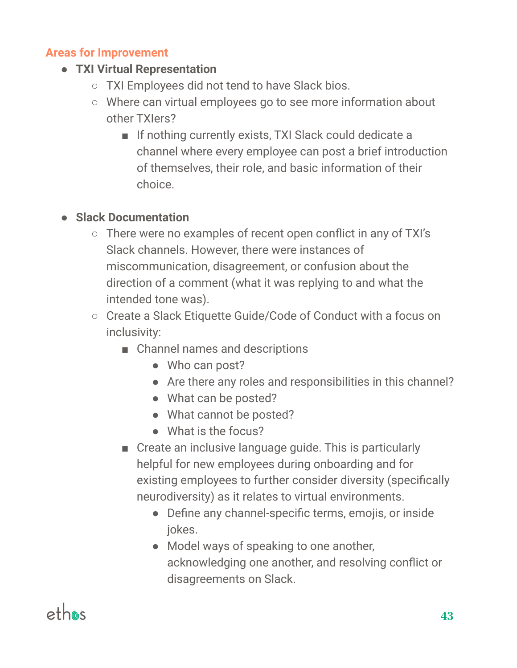#### **Areas for Improvement**

- **● TXI Virtual Representation**
	- TXI Employees did not tend to have Slack bios.
	- Where can virtual employees go to see more information about other TXIers?
		- If nothing currently exists, TXI Slack could dedicate a channel where every employee can post a brief introduction of themselves, their role, and basic information of their choice.

#### **● Slack Documentation**

- There were no examples of recent open conflict in any of TXI's Slack channels. However, there were instances of miscommunication, disagreement, or confusion about the direction of a comment (what it was replying to and what the intended tone was).
- Create a Slack Etiquette Guide/Code of Conduct with a focus on inclusivity:
	- Channel names and descriptions
		- Who can post?
		- Are there any roles and responsibilities in this channel?
		- What can be posted?
		- What cannot be posted?
		- What is the focus?
	- Create an inclusive language guide. This is particularly helpful for new employees during onboarding and for existing employees to further consider diversity (specifically neurodiversity) as it relates to virtual environments.
		- Define any channel-specific terms, emojis, or inside jokes.
		- Model ways of speaking to one another, acknowledging one another, and resolving conflict or disagreements on Slack.

# ethas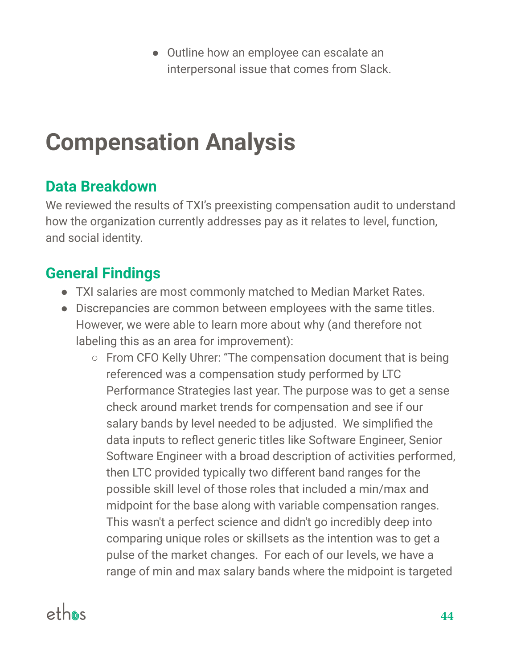● Outline how an employee can escalate an interpersonal issue that comes from Slack.

# **Compensation Analysis**

### **Data Breakdown**

We reviewed the results of TXI's preexisting compensation audit to understand how the organization currently addresses pay as it relates to level, function, and social identity.

### **General Findings**

- TXI salaries are most commonly matched to Median Market Rates.
- Discrepancies are common between employees with the same titles. However, we were able to learn more about why (and therefore not labeling this as an area for improvement):
	- From CFO Kelly Uhrer: "The compensation document that is being referenced was a compensation study performed by LTC Performance Strategies last year. The purpose was to get a sense check around market trends for compensation and see if our salary bands by level needed to be adjusted. We simplified the data inputs to reflect generic titles like Software Engineer, Senior Software Engineer with a broad description of activities performed, then LTC provided typically two different band ranges for the possible skill level of those roles that included a min/max and midpoint for the base along with variable compensation ranges. This wasn't a perfect science and didn't go incredibly deep into comparing unique roles or skillsets as the intention was to get a pulse of the market changes. For each of our levels, we have a range of min and max salary bands where the midpoint is targeted